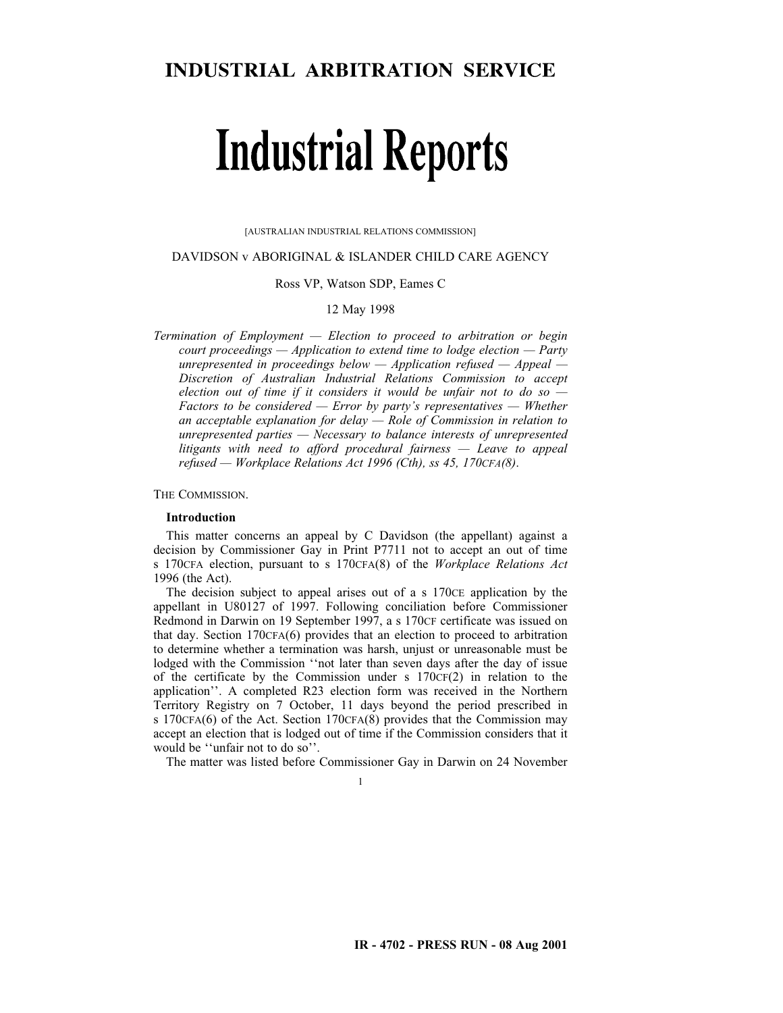### DAVIDSON v ABORIGINAL & ISLANDER CHILD CARE AGENCY

Ross VP, Watson SDP, Eames C

12 May 1998

*Termination of Employment — Election to proceed to arbitration or begin court proceedings — Application to extend time to lodge election — Party unrepresented in proceedings below — Application refused — Appeal — Discretion of Australian Industrial Relations Commission to accept election out of time if it considers it would be unfair not to do so — Factors to be considered — Error by party's representatives — Whether an acceptable explanation for delay — Role of Commission in relation to unrepresented parties — Necessary to balance interests of unrepresented litigants with need to afford procedural fairness — Leave to appeal refused — Workplace Relations Act 1996 (Cth), ss 45, 170CFA(8)*.

THE COMMISSION.

### **Introduction**

This matter concerns an appeal by C Davidson (the appellant) against a decision by Commissioner Gay in Print P7711 not to accept an out of time s 170CFA election, pursuant to s 170CFA(8) of the *Workplace Relations Act* 1996 (the Act).

The decision subject to appeal arises out of a s  $170CE$  application by the appellant in U80127 of 1997. Following conciliation before Commissioner Redmond in Darwin on 19 September 1997, a s 170CF certificate was issued on that day. Section 170CFA(6) provides that an election to proceed to arbitration to determine whether a termination was harsh, unjust or unreasonable must be lodged with the Commission ''not later than seven days after the day of issue of the certificate by the Commission under s  $170CF(2)$  in relation to the application''. A completed R23 election form was received in the Northern Territory Registry on 7 October, 11 days beyond the period prescribed in s 170CFA(6) of the Act. Section 170CFA(8) provides that the Commission may accept an election that is lodged out of time if the Commission considers that it would be ''unfair not to do so''.

The matter was listed before Commissioner Gay in Darwin on 24 November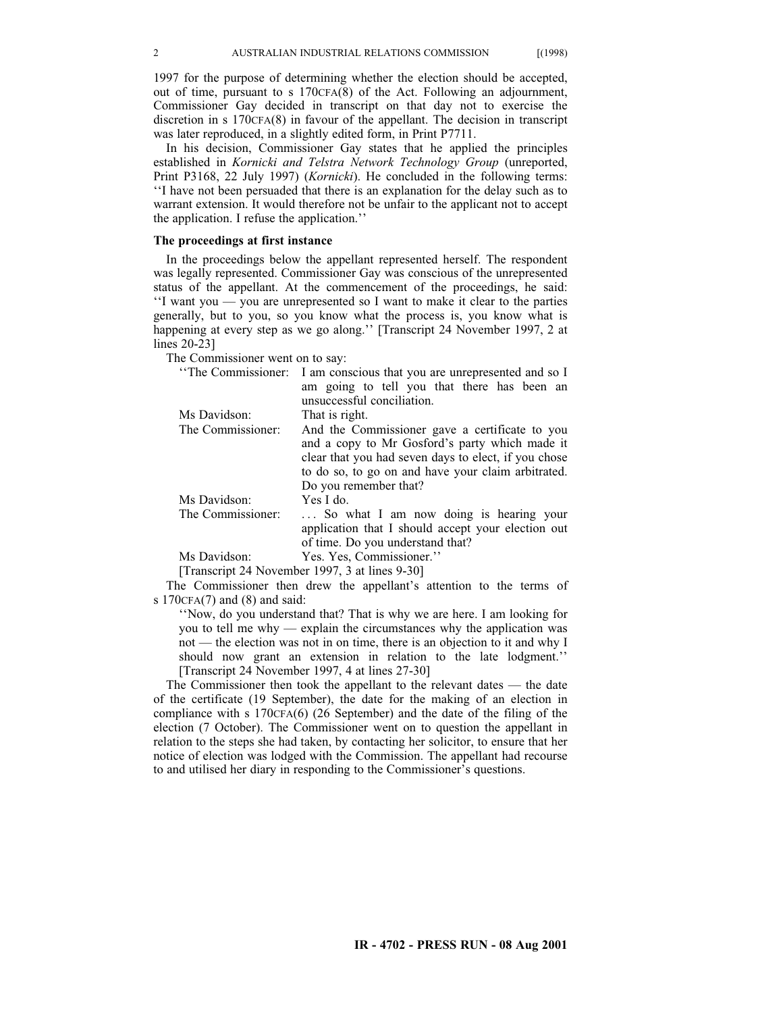1997 for the purpose of determining whether the election should be accepted, out of time, pursuant to s 170CFA(8) of the Act. Following an adjournment, Commissioner Gay decided in transcript on that day not to exercise the discretion in s 170CFA(8) in favour of the appellant. The decision in transcript was later reproduced, in a slightly edited form, in Print P7711.

In his decision, Commissioner Gay states that he applied the principles established in *Kornicki and Telstra Network Technology Group* (unreported, Print P3168, 22 July 1997) (*Kornicki*). He concluded in the following terms: ''I have not been persuaded that there is an explanation for the delay such as to warrant extension. It would therefore not be unfair to the applicant not to accept the application. I refuse the application.''

#### **The proceedings at first instance**

In the proceedings below the appellant represented herself. The respondent was legally represented. Commissioner Gay was conscious of the unrepresented status of the appellant. At the commencement of the proceedings, he said: ''I want you — you are unrepresented so I want to make it clear to the parties generally, but to you, so you know what the process is, you know what is happening at every step as we go along.'' [Transcript 24 November 1997, 2 at lines 20-23]

The Commissioner went on to say:

| "The Commissioner: I am conscious that you are unrepresented and so I |
|-----------------------------------------------------------------------|
| am going to tell you that there has been an                           |
| unsuccessful conciliation.                                            |
| That is right.                                                        |
| And the Commissioner gave a certificate to you                        |
| and a copy to Mr Gosford's party which made it                        |
| clear that you had seven days to elect, if you chose                  |
| to do so, to go on and have your claim arbitrated.                    |
| Do you remember that?                                                 |
| Yes I do.                                                             |
| So what I am now doing is hearing your                                |
| application that I should accept your election out                    |
| of time. Do you understand that?                                      |
| Yes. Yes, Commissioner."                                              |
|                                                                       |

[Transcript 24 November 1997, 3 at lines 9-30]

The Commissioner then drew the appellant's attention to the terms of s 170CFA(7) and (8) and said:

''Now, do you understand that? That is why we are here. I am looking for you to tell me why — explain the circumstances why the application was not — the election was not in on time, there is an objection to it and why I should now grant an extension in relation to the late lodgment.'' [Transcript 24 November 1997, 4 at lines 27-30]

The Commissioner then took the appellant to the relevant dates — the date of the certificate (19 September), the date for the making of an election in compliance with s 170CFA(6) (26 September) and the date of the filing of the election (7 October). The Commissioner went on to question the appellant in relation to the steps she had taken, by contacting her solicitor, to ensure that her notice of election was lodged with the Commission. The appellant had recourse to and utilised her diary in responding to the Commissioner's questions.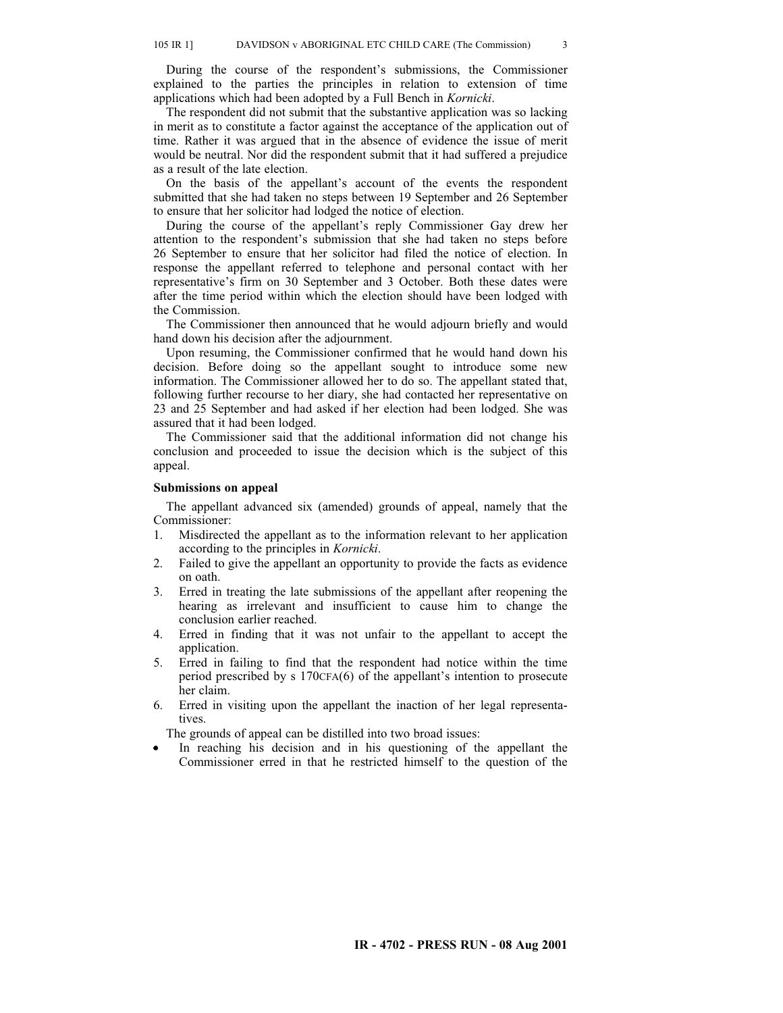During the course of the respondent's submissions, the Commissioner explained to the parties the principles in relation to extension of time applications which had been adopted by a Full Bench in *Kornicki*.

The respondent did not submit that the substantive application was so lacking in merit as to constitute a factor against the acceptance of the application out of time. Rather it was argued that in the absence of evidence the issue of merit would be neutral. Nor did the respondent submit that it had suffered a prejudice as a result of the late election.

On the basis of the appellant's account of the events the respondent submitted that she had taken no steps between 19 September and 26 September to ensure that her solicitor had lodged the notice of election.

During the course of the appellant's reply Commissioner Gay drew her attention to the respondent's submission that she had taken no steps before 26 September to ensure that her solicitor had filed the notice of election. In response the appellant referred to telephone and personal contact with her representative's firm on 30 September and 3 October. Both these dates were after the time period within which the election should have been lodged with the Commission.

The Commissioner then announced that he would adjourn briefly and would hand down his decision after the adjournment.

Upon resuming, the Commissioner confirmed that he would hand down his decision. Before doing so the appellant sought to introduce some new information. The Commissioner allowed her to do so. The appellant stated that, following further recourse to her diary, she had contacted her representative on 23 and 25 September and had asked if her election had been lodged. She was assured that it had been lodged.

The Commissioner said that the additional information did not change his conclusion and proceeded to issue the decision which is the subject of this appeal.

### **Submissions on appeal**

The appellant advanced six (amended) grounds of appeal, namely that the Commissioner:

- 1. Misdirected the appellant as to the information relevant to her application according to the principles in *Kornicki*.
- 2. Failed to give the appellant an opportunity to provide the facts as evidence on oath.
- 3. Erred in treating the late submissions of the appellant after reopening the hearing as irrelevant and insufficient to cause him to change the conclusion earlier reached.
- 4. Erred in finding that it was not unfair to the appellant to accept the application.
- 5. Erred in failing to find that the respondent had notice within the time period prescribed by s 170CFA(6) of the appellant's intention to prosecute her claim.
- 6. Erred in visiting upon the appellant the inaction of her legal representatives.

The grounds of appeal can be distilled into two broad issues:

In reaching his decision and in his questioning of the appellant the  $\bullet$ Commissioner erred in that he restricted himself to the question of the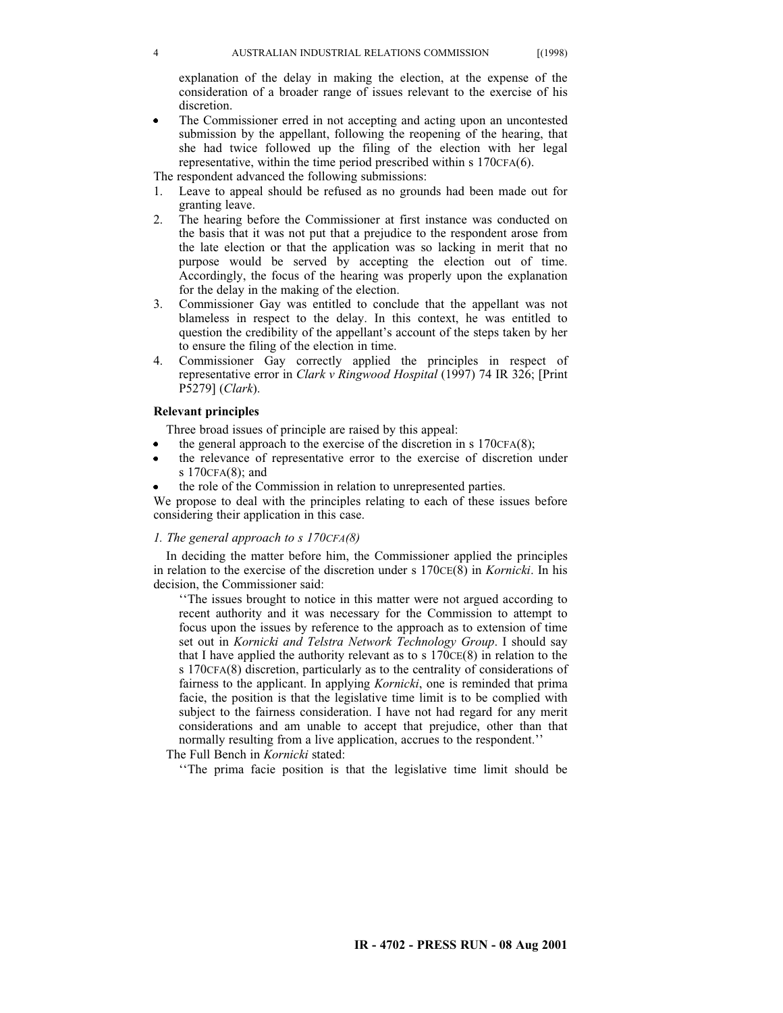explanation of the delay in making the election, at the expense of the consideration of a broader range of issues relevant to the exercise of his discretion.

- The Commissioner erred in not accepting and acting upon an uncontested submission by the appellant, following the reopening of the hearing, that she had twice followed up the filing of the election with her legal representative, within the time period prescribed within s 170CFA(6).
- The respondent advanced the following submissions:
- 1. Leave to appeal should be refused as no grounds had been made out for granting leave.
- 2. The hearing before the Commissioner at first instance was conducted on the basis that it was not put that a prejudice to the respondent arose from the late election or that the application was so lacking in merit that no purpose would be served by accepting the election out of time. Accordingly, the focus of the hearing was properly upon the explanation for the delay in the making of the election.
- 3. Commissioner Gay was entitled to conclude that the appellant was not blameless in respect to the delay. In this context, he was entitled to question the credibility of the appellant's account of the steps taken by her to ensure the filing of the election in time.
- 4. Commissioner Gay correctly applied the principles in respect of representative error in *Clark v Ringwood Hospital* (1997) 74 IR 326; [Print P5279] (*Clark*).

# **Relevant principles**

Three broad issues of principle are raised by this appeal:

- the general approach to the exercise of the discretion in s 170CFA(8);
- the relevance of representative error to the exercise of discretion under s 170CFA(8); and
- the role of the Commission in relation to unrepresented parties.

We propose to deal with the principles relating to each of these issues before considering their application in this case.

# *1. The general approach to s 170CFA(8)*

In deciding the matter before him, the Commissioner applied the principles in relation to the exercise of the discretion under s 170CE(8) in *Kornicki*. In his decision, the Commissioner said:

''The issues brought to notice in this matter were not argued according to recent authority and it was necessary for the Commission to attempt to focus upon the issues by reference to the approach as to extension of time set out in *Kornicki and Telstra Network Technology Group*. I should say that I have applied the authority relevant as to s  $170CE(8)$  in relation to the s 170CFA(8) discretion, particularly as to the centrality of considerations of fairness to the applicant. In applying *Kornicki*, one is reminded that prima facie, the position is that the legislative time limit is to be complied with subject to the fairness consideration. I have not had regard for any merit considerations and am unable to accept that prejudice, other than that normally resulting from a live application, accrues to the respondent.''

The Full Bench in *Kornicki* stated:

''The prima facie position is that the legislative time limit should be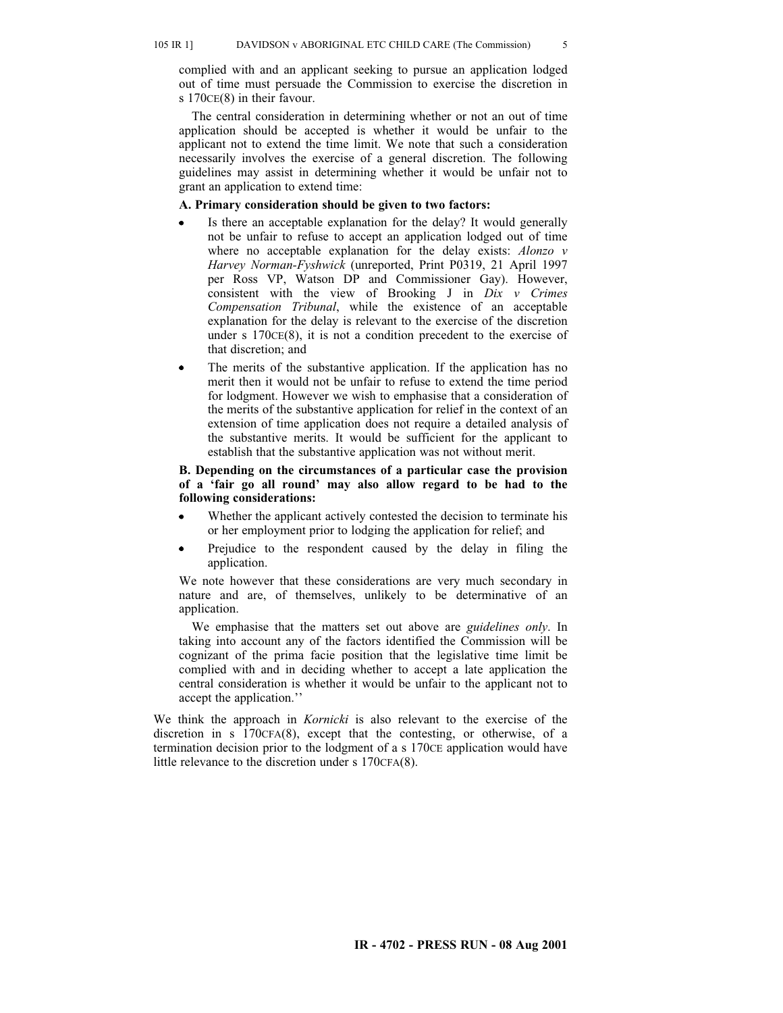#### 105 IR 1] DAVIDSON v ABORIGINAL ETC CHILD CARE (The Commission) 5

complied with and an applicant seeking to pursue an application lodged out of time must persuade the Commission to exercise the discretion in s 170CE(8) in their favour.

The central consideration in determining whether or not an out of time application should be accepted is whether it would be unfair to the applicant not to extend the time limit. We note that such a consideration necessarily involves the exercise of a general discretion. The following guidelines may assist in determining whether it would be unfair not to grant an application to extend time:

# **A. Primary consideration should be given to two factors:**

- Is there an acceptable explanation for the delay? It would generally not be unfair to refuse to accept an application lodged out of time where no acceptable explanation for the delay exists: *Alonzo v Harvey Norman-Fyshwick* (unreported, Print P0319, 21 April 1997 per Ross VP, Watson DP and Commissioner Gay). However, consistent with the view of Brooking J in *Dix v Crimes Compensation Tribunal*, while the existence of an acceptable explanation for the delay is relevant to the exercise of the discretion under s 170CE(8), it is not a condition precedent to the exercise of that discretion; and
- The merits of the substantive application. If the application has no merit then it would not be unfair to refuse to extend the time period for lodgment. However we wish to emphasise that a consideration of the merits of the substantive application for relief in the context of an extension of time application does not require a detailed analysis of the substantive merits. It would be sufficient for the applicant to establish that the substantive application was not without merit.

# **B. Depending on the circumstances of a particular case the provision of a 'fair go all round' may also allow regard to be had to the following considerations:**

- Whether the applicant actively contested the decision to terminate his or her employment prior to lodging the application for relief; and
- Prejudice to the respondent caused by the delay in filing the application.

We note however that these considerations are very much secondary in nature and are, of themselves, unlikely to be determinative of an application.

We emphasise that the matters set out above are *guidelines only*. In taking into account any of the factors identified the Commission will be cognizant of the prima facie position that the legislative time limit be complied with and in deciding whether to accept a late application the central consideration is whether it would be unfair to the applicant not to accept the application.''

We think the approach in *Kornicki* is also relevant to the exercise of the discretion in s 170CFA(8), except that the contesting, or otherwise, of a termination decision prior to the lodgment of a s 170CE application would have little relevance to the discretion under s 170CFA(8).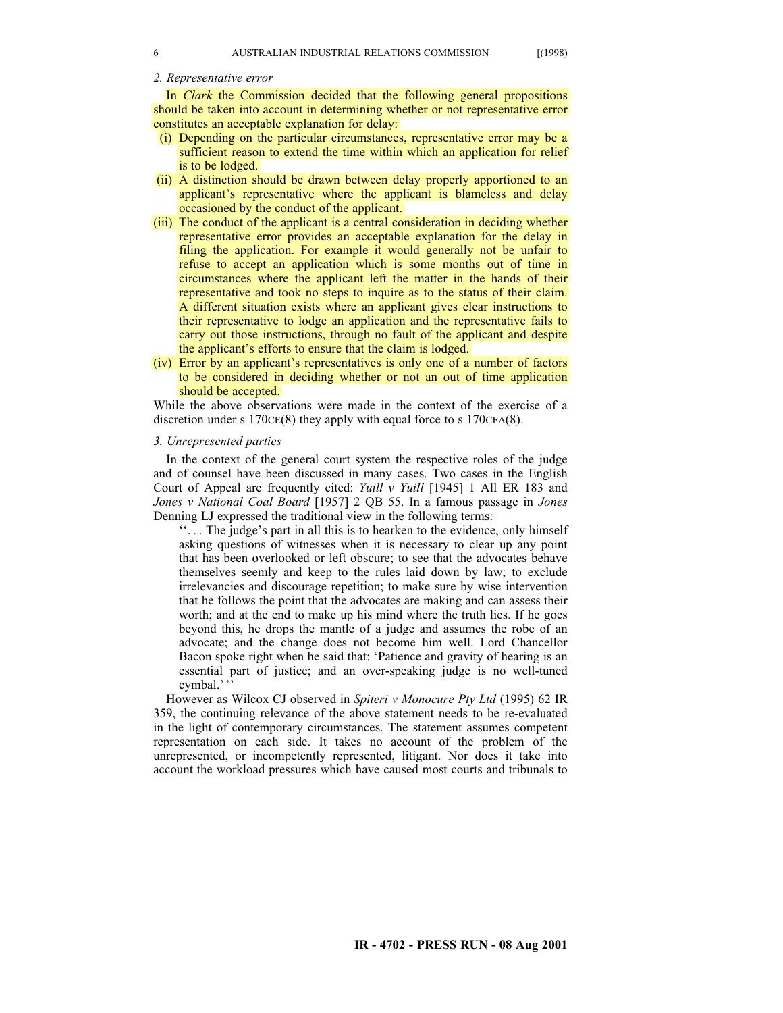### *2. Representative error*

In *Clark* the Commission decided that the following general propositions should be taken into account in determining whether or not representative error constitutes an acceptable explanation for delay:

- (i) Depending on the particular circumstances, representative error may be a sufficient reason to extend the time within which an application for relief is to be lodged.
- (ii) A distinction should be drawn between delay properly apportioned to an applicant's representative where the applicant is blameless and delay occasioned by the conduct of the applicant.
- (iii) The conduct of the applicant is a central consideration in deciding whether representative error provides an acceptable explanation for the delay in filing the application. For example it would generally not be unfair to refuse to accept an application which is some months out of time in circumstances where the applicant left the matter in the hands of their representative and took no steps to inquire as to the status of their claim. A different situation exists where an applicant gives clear instructions to their representative to lodge an application and the representative fails to carry out those instructions, through no fault of the applicant and despite the applicant's efforts to ensure that the claim is lodged.
- (iv) Error by an applicant's representatives is only one of a number of factors to be considered in deciding whether or not an out of time application should be accepted.

While the above observations were made in the context of the exercise of a discretion under s  $170CE(8)$  they apply with equal force to s  $170CFA(8)$ .

### *3. Unrepresented parties*

In the context of the general court system the respective roles of the judge and of counsel have been discussed in many cases. Two cases in the English Court of Appeal are frequently cited: *Yuill v Yuill* [1945] 1 All ER 183 and *Jones v National Coal Board* [1957] 2 QB 55. In a famous passage in *Jones* Denning LJ expressed the traditional view in the following terms:

''. . . The judge's part in all this is to hearken to the evidence, only himself asking questions of witnesses when it is necessary to clear up any point that has been overlooked or left obscure; to see that the advocates behave themselves seemly and keep to the rules laid down by law; to exclude irrelevancies and discourage repetition; to make sure by wise intervention that he follows the point that the advocates are making and can assess their worth; and at the end to make up his mind where the truth lies. If he goes beyond this, he drops the mantle of a judge and assumes the robe of an advocate; and the change does not become him well. Lord Chancellor Bacon spoke right when he said that: 'Patience and gravity of hearing is an essential part of justice; and an over-speaking judge is no well-tuned cymbal.'''

However as Wilcox CJ observed in *Spiteri v Monocure Pty Ltd* (1995) 62 IR 359, the continuing relevance of the above statement needs to be re-evaluated in the light of contemporary circumstances. The statement assumes competent representation on each side. It takes no account of the problem of the unrepresented, or incompetently represented, litigant. Nor does it take into account the workload pressures which have caused most courts and tribunals to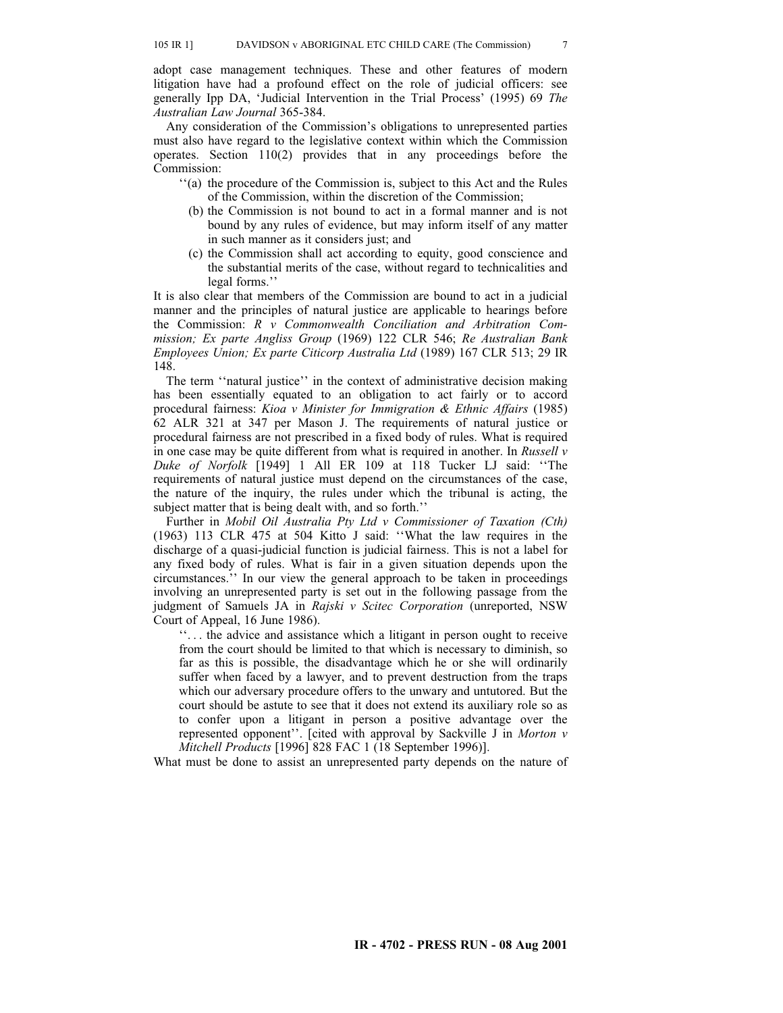adopt case management techniques. These and other features of modern litigation have had a profound effect on the role of judicial officers: see generally Ipp DA, 'Judicial Intervention in the Trial Process' (1995) 69 *The Australian Law Journal* 365-384.

Any consideration of the Commission's obligations to unrepresented parties must also have regard to the legislative context within which the Commission operates. Section 110(2) provides that in any proceedings before the Commission:

- ''(a) the procedure of the Commission is, subject to this Act and the Rules of the Commission, within the discretion of the Commission;
	- (b) the Commission is not bound to act in a formal manner and is not bound by any rules of evidence, but may inform itself of any matter in such manner as it considers just; and
	- (c) the Commission shall act according to equity, good conscience and the substantial merits of the case, without regard to technicalities and legal forms.''

It is also clear that members of the Commission are bound to act in a judicial manner and the principles of natural justice are applicable to hearings before the Commission: *R v Commonwealth Conciliation and Arbitration Commission; Ex parte Angliss Group* (1969) 122 CLR 546; *Re Australian Bank Employees Union; Ex parte Citicorp Australia Ltd* (1989) 167 CLR 513; 29 IR 148.

The term ''natural justice'' in the context of administrative decision making has been essentially equated to an obligation to act fairly or to accord procedural fairness: *Kioa v Minister for Immigration & Ethnic Affairs* (1985) 62 ALR 321 at 347 per Mason J. The requirements of natural justice or procedural fairness are not prescribed in a fixed body of rules. What is required in one case may be quite different from what is required in another. In *Russell v Duke of Norfolk* [1949] 1 All ER 109 at 118 Tucker LJ said: ''The requirements of natural justice must depend on the circumstances of the case, the nature of the inquiry, the rules under which the tribunal is acting, the subject matter that is being dealt with, and so forth.''

Further in *Mobil Oil Australia Pty Ltd v Commissioner of Taxation (Cth)* (1963) 113 CLR 475 at 504 Kitto J said: ''What the law requires in the discharge of a quasi-judicial function is judicial fairness. This is not a label for any fixed body of rules. What is fair in a given situation depends upon the circumstances.'' In our view the general approach to be taken in proceedings involving an unrepresented party is set out in the following passage from the judgment of Samuels JA in *Rajski v Scitec Corporation* (unreported, NSW Court of Appeal, 16 June 1986).

''. . . the advice and assistance which a litigant in person ought to receive from the court should be limited to that which is necessary to diminish, so far as this is possible, the disadvantage which he or she will ordinarily suffer when faced by a lawyer, and to prevent destruction from the traps which our adversary procedure offers to the unwary and untutored. But the court should be astute to see that it does not extend its auxiliary role so as to confer upon a litigant in person a positive advantage over the represented opponent''. [cited with approval by Sackville J in *Morton v Mitchell Products* [1996] 828 FAC 1 (18 September 1996)].

What must be done to assist an unrepresented party depends on the nature of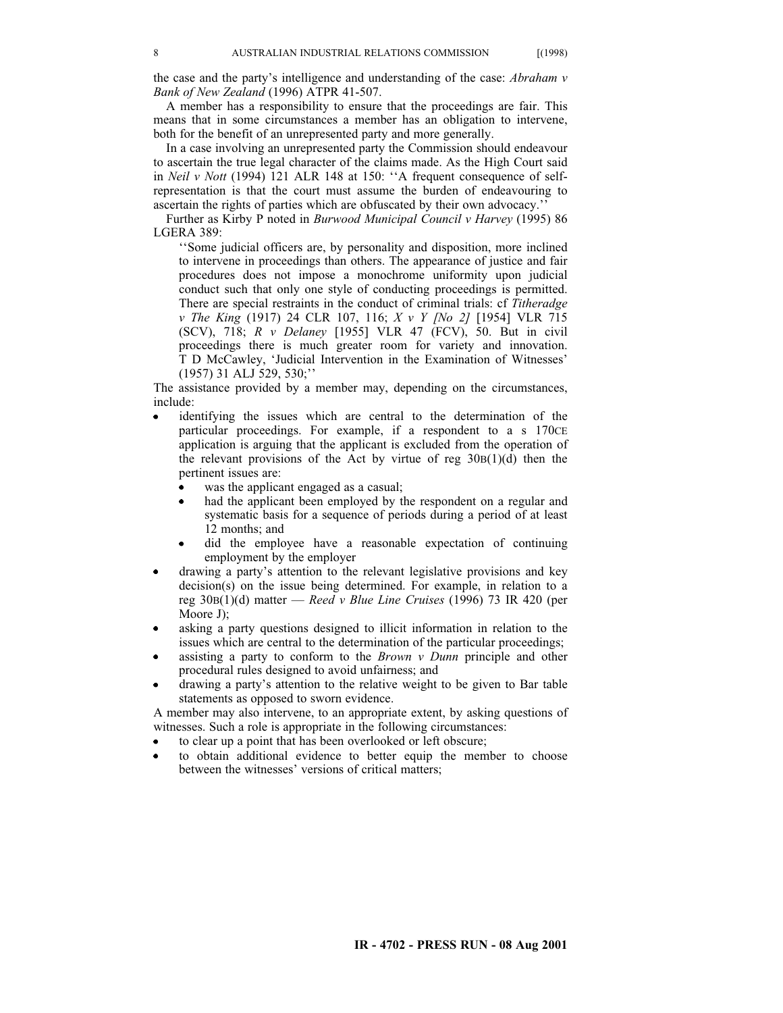the case and the party's intelligence and understanding of the case: *Abraham v Bank of New Zealand* (1996) ATPR 41-507.

A member has a responsibility to ensure that the proceedings are fair. This means that in some circumstances a member has an obligation to intervene, both for the benefit of an unrepresented party and more generally.

In a case involving an unrepresented party the Commission should endeavour to ascertain the true legal character of the claims made. As the High Court said in *Neil v Nott* (1994) 121 ALR 148 at 150: ''A frequent consequence of selfrepresentation is that the court must assume the burden of endeavouring to ascertain the rights of parties which are obfuscated by their own advocacy.''

Further as Kirby P noted in *Burwood Municipal Council v Harvey* (1995) 86 LGERA 389:

''Some judicial officers are, by personality and disposition, more inclined to intervene in proceedings than others. The appearance of justice and fair procedures does not impose a monochrome uniformity upon judicial conduct such that only one style of conducting proceedings is permitted. There are special restraints in the conduct of criminal trials: cf *Titheradge v The King* (1917) 24 CLR 107, 116; *X v Y [No 2]* [1954] VLR 715 (SCV), 718; *R v Delaney* [1955] VLR 47 (FCV), 50. But in civil proceedings there is much greater room for variety and innovation. T D McCawley, 'Judicial Intervention in the Examination of Witnesses' (1957) 31 ALJ 529, 530;''

The assistance provided by a member may, depending on the circumstances, include:

- identifying the issues which are central to the determination of the particular proceedings. For example, if a respondent to a s 170CE application is arguing that the applicant is excluded from the operation of the relevant provisions of the Act by virtue of reg  $30B(1)(d)$  then the pertinent issues are:
	- was the applicant engaged as a casual;
	- had the applicant been employed by the respondent on a regular and systematic basis for a sequence of periods during a period of at least 12 months; and
	- did the employee have a reasonable expectation of continuing employment by the employer
- drawing a party's attention to the relevant legislative provisions and key decision(s) on the issue being determined. For example, in relation to a reg 30B(1)(d) matter — *Reed v Blue Line Cruises* (1996) 73 IR 420 (per Moore J);
- asking a party questions designed to illicit information in relation to the issues which are central to the determination of the particular proceedings;
- assisting a party to conform to the *Brown v Dunn* principle and other procedural rules designed to avoid unfairness; and
- drawing a party's attention to the relative weight to be given to Bar table statements as opposed to sworn evidence.

A member may also intervene, to an appropriate extent, by asking questions of witnesses. Such a role is appropriate in the following circumstances:

- to clear up a point that has been overlooked or left obscure;
- to obtain additional evidence to better equip the member to choose between the witnesses' versions of critical matters;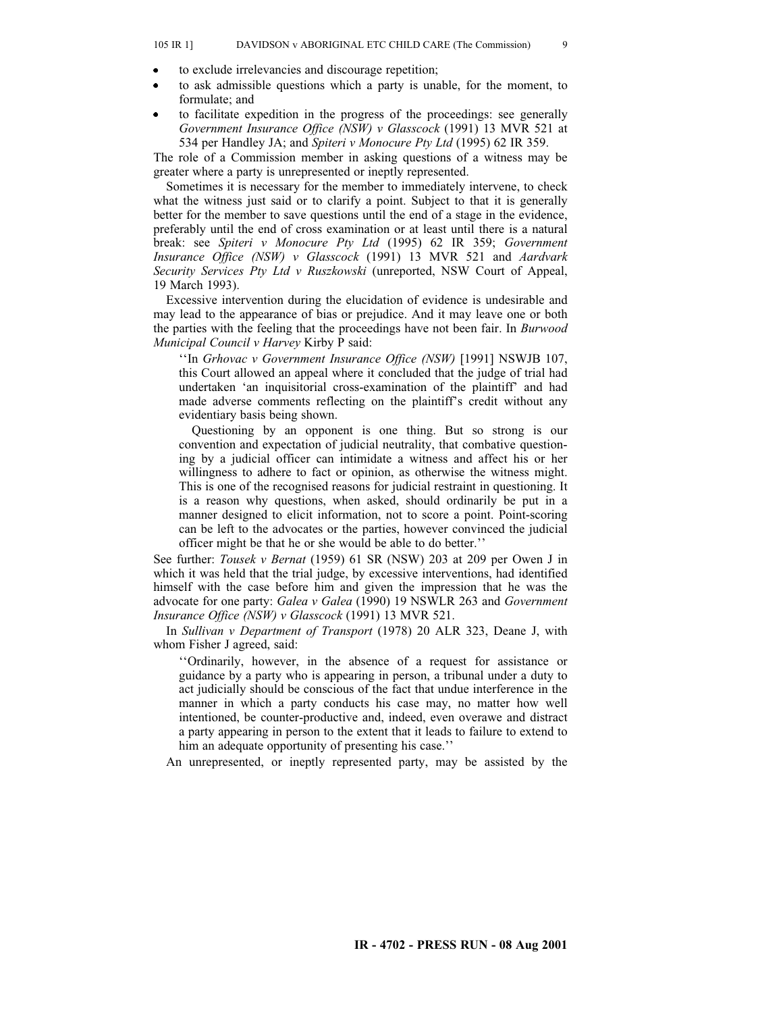- to exclude irrelevancies and discourage repetition;
- to ask admissible questions which a party is unable, for the moment, to  $\bullet$ formulate; and
- to facilitate expedition in the progress of the proceedings: see generally *Government Insurance Office (NSW) v Glasscock* (1991) 13 MVR 521 at 534 per Handley JA; and *Spiteri v Monocure Pty Ltd* (1995) 62 IR 359.

The role of a Commission member in asking questions of a witness may be greater where a party is unrepresented or ineptly represented.

Sometimes it is necessary for the member to immediately intervene, to check what the witness just said or to clarify a point. Subject to that it is generally better for the member to save questions until the end of a stage in the evidence, preferably until the end of cross examination or at least until there is a natural break: see *Spiteri v Monocure Pty Ltd* (1995) 62 IR 359; *Government Insurance Office (NSW) v Glasscock* (1991) 13 MVR 521 and *Aardvark Security Services Pty Ltd v Ruszkowski* (unreported, NSW Court of Appeal, 19 March 1993).

Excessive intervention during the elucidation of evidence is undesirable and may lead to the appearance of bias or prejudice. And it may leave one or both the parties with the feeling that the proceedings have not been fair. In *Burwood Municipal Council v Harvey* Kirby P said:

''In *Grhovac v Government Insurance Office (NSW)* [1991] NSWJB 107, this Court allowed an appeal where it concluded that the judge of trial had undertaken 'an inquisitorial cross-examination of the plaintiff' and had made adverse comments reflecting on the plaintiff's credit without any evidentiary basis being shown.

Questioning by an opponent is one thing. But so strong is our convention and expectation of judicial neutrality, that combative questioning by a judicial officer can intimidate a witness and affect his or her willingness to adhere to fact or opinion, as otherwise the witness might. This is one of the recognised reasons for judicial restraint in questioning. It is a reason why questions, when asked, should ordinarily be put in a manner designed to elicit information, not to score a point. Point-scoring can be left to the advocates or the parties, however convinced the judicial officer might be that he or she would be able to do better.''

See further: *Tousek v Bernat* (1959) 61 SR (NSW) 203 at 209 per Owen J in which it was held that the trial judge, by excessive interventions, had identified himself with the case before him and given the impression that he was the advocate for one party: *Galea v Galea* (1990) 19 NSWLR 263 and *Government Insurance Office (NSW) v Glasscock* (1991) 13 MVR 521.

In *Sullivan v Department of Transport* (1978) 20 ALR 323, Deane J, with whom Fisher J agreed, said:

''Ordinarily, however, in the absence of a request for assistance or guidance by a party who is appearing in person, a tribunal under a duty to act judicially should be conscious of the fact that undue interference in the manner in which a party conducts his case may, no matter how well intentioned, be counter-productive and, indeed, even overawe and distract a party appearing in person to the extent that it leads to failure to extend to him an adequate opportunity of presenting his case.''

An unrepresented, or ineptly represented party, may be assisted by the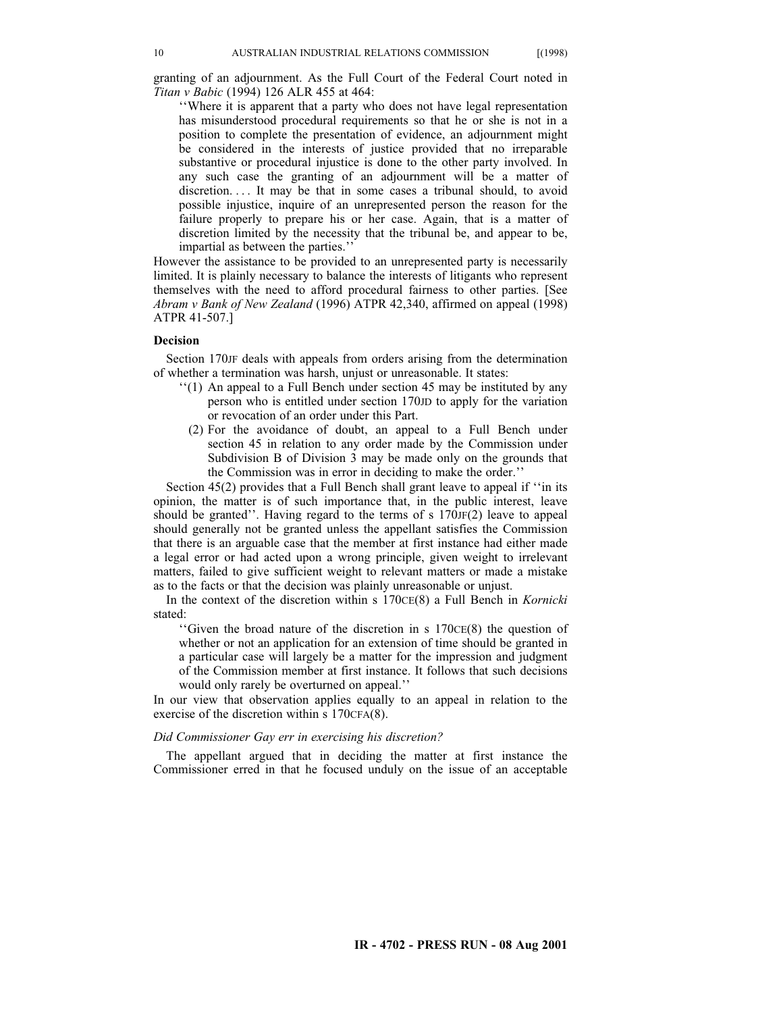granting of an adjournment. As the Full Court of the Federal Court noted in *Titan v Babic* (1994) 126 ALR 455 at 464:

''Where it is apparent that a party who does not have legal representation has misunderstood procedural requirements so that he or she is not in a position to complete the presentation of evidence, an adjournment might be considered in the interests of justice provided that no irreparable substantive or procedural injustice is done to the other party involved. In any such case the granting of an adjournment will be a matter of discretion.... It may be that in some cases a tribunal should, to avoid possible injustice, inquire of an unrepresented person the reason for the failure properly to prepare his or her case. Again, that is a matter of discretion limited by the necessity that the tribunal be, and appear to be, impartial as between the parties.''

However the assistance to be provided to an unrepresented party is necessarily limited. It is plainly necessary to balance the interests of litigants who represent themselves with the need to afford procedural fairness to other parties. [See *Abram v Bank of New Zealand* (1996) ATPR 42,340, affirmed on appeal (1998) ATPR 41-507.]

### **Decision**

Section 170JF deals with appeals from orders arising from the determination of whether a termination was harsh, unjust or unreasonable. It states:

- ''(1) An appeal to a Full Bench under section 45 may be instituted by any person who is entitled under section 170JD to apply for the variation or revocation of an order under this Part.
	- (2) For the avoidance of doubt, an appeal to a Full Bench under section 45 in relation to any order made by the Commission under Subdivision B of Division 3 may be made only on the grounds that the Commission was in error in deciding to make the order.''

Section 45(2) provides that a Full Bench shall grant leave to appeal if ''in its opinion, the matter is of such importance that, in the public interest, leave should be granted''. Having regard to the terms of s 170JF(2) leave to appeal should generally not be granted unless the appellant satisfies the Commission that there is an arguable case that the member at first instance had either made a legal error or had acted upon a wrong principle, given weight to irrelevant matters, failed to give sufficient weight to relevant matters or made a mistake as to the facts or that the decision was plainly unreasonable or unjust.

In the context of the discretion within s 170CE(8) a Full Bench in *Kornicki* stated:

''Given the broad nature of the discretion in s 170CE(8) the question of whether or not an application for an extension of time should be granted in a particular case will largely be a matter for the impression and judgment of the Commission member at first instance. It follows that such decisions would only rarely be overturned on appeal.''

In our view that observation applies equally to an appeal in relation to the exercise of the discretion within s 170CFA(8).

#### *Did Commissioner Gay err in exercising his discretion?*

The appellant argued that in deciding the matter at first instance the Commissioner erred in that he focused unduly on the issue of an acceptable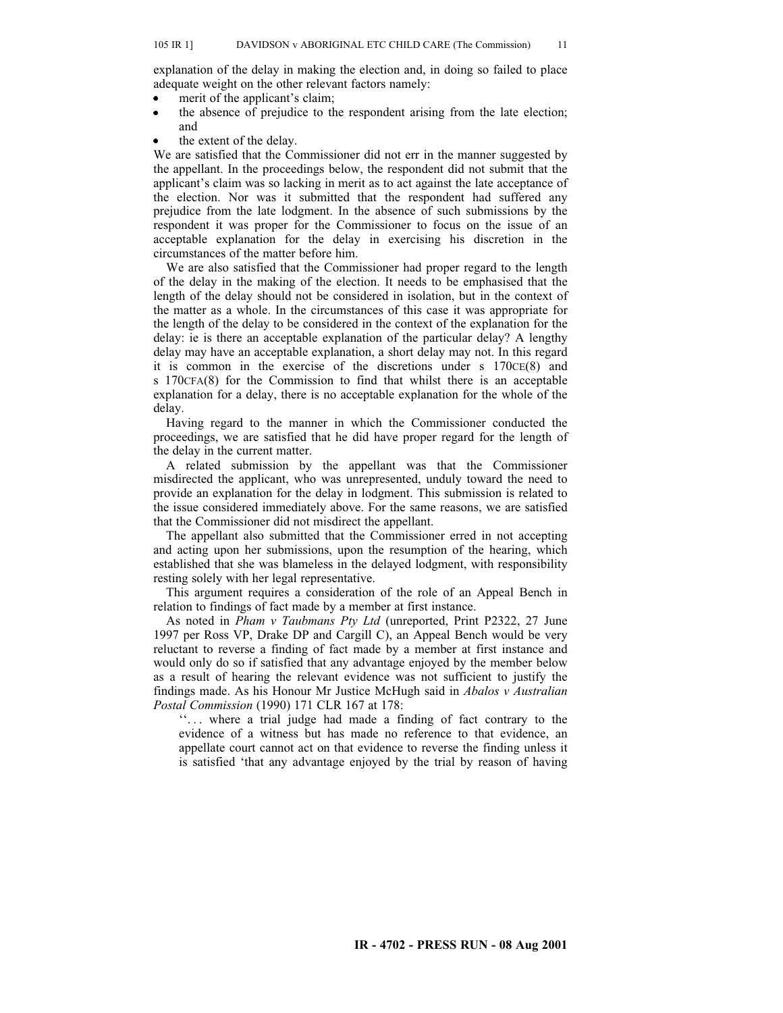explanation of the delay in making the election and, in doing so failed to place adequate weight on the other relevant factors namely:

- merit of the applicant's claim;
- the absence of prejudice to the respondent arising from the late election; and
- the extent of the delay.

We are satisfied that the Commissioner did not err in the manner suggested by the appellant. In the proceedings below, the respondent did not submit that the applicant's claim was so lacking in merit as to act against the late acceptance of the election. Nor was it submitted that the respondent had suffered any prejudice from the late lodgment. In the absence of such submissions by the respondent it was proper for the Commissioner to focus on the issue of an acceptable explanation for the delay in exercising his discretion in the circumstances of the matter before him.

We are also satisfied that the Commissioner had proper regard to the length of the delay in the making of the election. It needs to be emphasised that the length of the delay should not be considered in isolation, but in the context of the matter as a whole. In the circumstances of this case it was appropriate for the length of the delay to be considered in the context of the explanation for the delay: ie is there an acceptable explanation of the particular delay? A lengthy delay may have an acceptable explanation, a short delay may not. In this regard it is common in the exercise of the discretions under  $s$  170 $CE(8)$  and s 170CFA(8) for the Commission to find that whilst there is an acceptable explanation for a delay, there is no acceptable explanation for the whole of the delay.

Having regard to the manner in which the Commissioner conducted the proceedings, we are satisfied that he did have proper regard for the length of the delay in the current matter.

A related submission by the appellant was that the Commissioner misdirected the applicant, who was unrepresented, unduly toward the need to provide an explanation for the delay in lodgment. This submission is related to the issue considered immediately above. For the same reasons, we are satisfied that the Commissioner did not misdirect the appellant.

The appellant also submitted that the Commissioner erred in not accepting and acting upon her submissions, upon the resumption of the hearing, which established that she was blameless in the delayed lodgment, with responsibility resting solely with her legal representative.

This argument requires a consideration of the role of an Appeal Bench in relation to findings of fact made by a member at first instance.

As noted in *Pham v Taubmans Pty Ltd* (unreported, Print P2322, 27 June 1997 per Ross VP, Drake DP and Cargill C), an Appeal Bench would be very reluctant to reverse a finding of fact made by a member at first instance and would only do so if satisfied that any advantage enjoyed by the member below as a result of hearing the relevant evidence was not sufficient to justify the findings made. As his Honour Mr Justice McHugh said in *Abalos v Australian Postal Commission* (1990) 171 CLR 167 at 178:

"... where a trial judge had made a finding of fact contrary to the evidence of a witness but has made no reference to that evidence, an appellate court cannot act on that evidence to reverse the finding unless it is satisfied 'that any advantage enjoyed by the trial by reason of having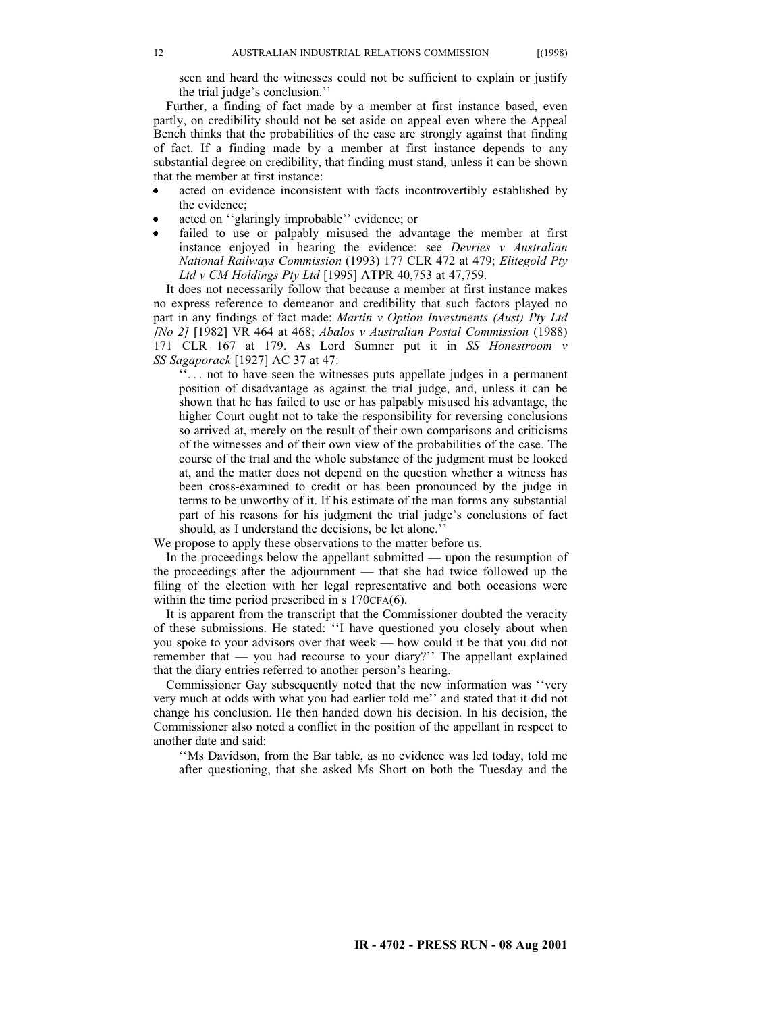seen and heard the witnesses could not be sufficient to explain or justify the trial judge's conclusion.''

Further, a finding of fact made by a member at first instance based, even partly, on credibility should not be set aside on appeal even where the Appeal Bench thinks that the probabilities of the case are strongly against that finding of fact. If a finding made by a member at first instance depends to any substantial degree on credibility, that finding must stand, unless it can be shown that the member at first instance:

- acted on evidence inconsistent with facts incontrovertibly established by the evidence;
- acted on ''glaringly improbable'' evidence; or
- failed to use or palpably misused the advantage the member at first  $\bullet$ instance enjoyed in hearing the evidence: see *Devries v Australian National Railways Commission* (1993) 177 CLR 472 at 479; *Elitegold Pty Ltd v CM Holdings Pty Ltd* [1995] ATPR 40,753 at 47,759.

It does not necessarily follow that because a member at first instance makes no express reference to demeanor and credibility that such factors played no part in any findings of fact made: *Martin v Option Investments (Aust) Pty Ltd [No 2]* [1982] VR 464 at 468; *Abalos v Australian Postal Commission* (1988) 171 CLR 167 at 179. As Lord Sumner put it in *SS Honestroom v SS Sagaporack* [1927] AC 37 at 47:

''. . . not to have seen the witnesses puts appellate judges in a permanent position of disadvantage as against the trial judge, and, unless it can be shown that he has failed to use or has palpably misused his advantage, the higher Court ought not to take the responsibility for reversing conclusions so arrived at, merely on the result of their own comparisons and criticisms of the witnesses and of their own view of the probabilities of the case. The course of the trial and the whole substance of the judgment must be looked at, and the matter does not depend on the question whether a witness has been cross-examined to credit or has been pronounced by the judge in terms to be unworthy of it. If his estimate of the man forms any substantial part of his reasons for his judgment the trial judge's conclusions of fact should, as I understand the decisions, be let alone.''

We propose to apply these observations to the matter before us.

In the proceedings below the appellant submitted — upon the resumption of the proceedings after the adjournment — that she had twice followed up the filing of the election with her legal representative and both occasions were within the time period prescribed in s 170CFA(6).

It is apparent from the transcript that the Commissioner doubted the veracity of these submissions. He stated: ''I have questioned you closely about when you spoke to your advisors over that week — how could it be that you did not remember that — you had recourse to your diary?'' The appellant explained that the diary entries referred to another person's hearing.

Commissioner Gay subsequently noted that the new information was ''very very much at odds with what you had earlier told me'' and stated that it did not change his conclusion. He then handed down his decision. In his decision, the Commissioner also noted a conflict in the position of the appellant in respect to another date and said:

''Ms Davidson, from the Bar table, as no evidence was led today, told me after questioning, that she asked Ms Short on both the Tuesday and the